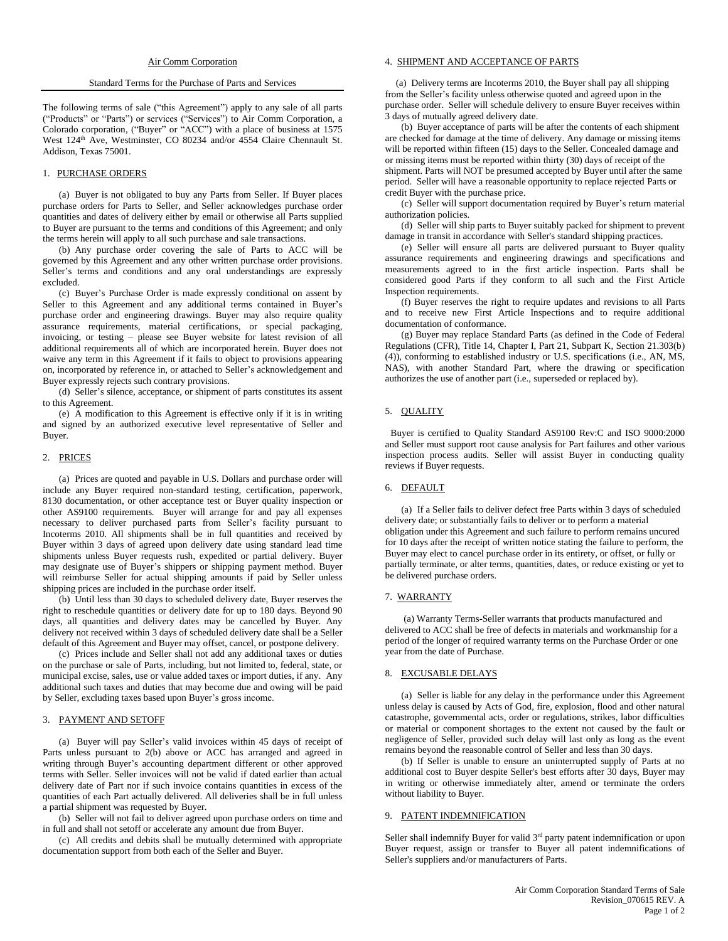#### Standard Terms for the Purchase of Parts and Services

The following terms of sale ("this Agreement") apply to any sale of all parts ("Products" or "Parts") or services ("Services") to Air Comm Corporation, a Colorado corporation, ("Buyer" or "ACC") with a place of business at 1575 West 124<sup>th</sup> Ave, Westminster, CO 80234 and/or 4554 Claire Chennault St. Addison, Texas 75001.

### 1. PURCHASE ORDERS

(a) Buyer is not obligated to buy any Parts from Seller. If Buyer places purchase orders for Parts to Seller, and Seller acknowledges purchase order quantities and dates of delivery either by email or otherwise all Parts supplied to Buyer are pursuant to the terms and conditions of this Agreement; and only the terms herein will apply to all such purchase and sale transactions.

(b) Any purchase order covering the sale of Parts to ACC will be governed by this Agreement and any other written purchase order provisions. Seller's terms and conditions and any oral understandings are expressly excluded.

(c) Buyer's Purchase Order is made expressly conditional on assent by Seller to this Agreement and any additional terms contained in Buyer's purchase order and engineering drawings. Buyer may also require quality assurance requirements, material certifications, or special packaging, invoicing, or testing – please see Buyer website for latest revision of all additional requirements all of which are incorporated herein. Buyer does not waive any term in this Agreement if it fails to object to provisions appearing on, incorporated by reference in, or attached to Seller's acknowledgement and Buyer expressly rejects such contrary provisions.

(d) Seller's silence, acceptance, or shipment of parts constitutes its assent to this Agreement.

(e) A modification to this Agreement is effective only if it is in writing and signed by an authorized executive level representative of Seller and Buyer.

## 2. PRICES

(a) Prices are quoted and payable in U.S. Dollars and purchase order will include any Buyer required non-standard testing, certification, paperwork, 8130 documentation, or other acceptance test or Buyer quality inspection or other AS9100 requirements. Buyer will arrange for and pay all expenses necessary to deliver purchased parts from Seller's facility pursuant to Incoterms 2010. All shipments shall be in full quantities and received by Buyer within 3 days of agreed upon delivery date using standard lead time shipments unless Buyer requests rush, expedited or partial delivery. Buyer may designate use of Buyer's shippers or shipping payment method. Buyer will reimburse Seller for actual shipping amounts if paid by Seller unless shipping prices are included in the purchase order itself.

(b) Until less than 30 days to scheduled delivery date, Buyer reserves the right to reschedule quantities or delivery date for up to 180 days. Beyond 90 days, all quantities and delivery dates may be cancelled by Buyer. Any delivery not received within 3 days of scheduled delivery date shall be a Seller default of this Agreement and Buyer may offset, cancel, or postpone delivery.

(c) Prices include and Seller shall not add any additional taxes or duties on the purchase or sale of Parts, including, but not limited to, federal, state, or municipal excise, sales, use or value added taxes or import duties, if any. Any additional such taxes and duties that may become due and owing will be paid by Seller, excluding taxes based upon Buyer's gross income.

## 3. PAYMENT AND SETOFF

(a) Buyer will pay Seller's valid invoices within 45 days of receipt of Parts unless pursuant to 2(b) above or ACC has arranged and agreed in writing through Buyer's accounting department different or other approved terms with Seller. Seller invoices will not be valid if dated earlier than actual delivery date of Part nor if such invoice contains quantities in excess of the quantities of each Part actually delivered. All deliveries shall be in full unless a partial shipment was requested by Buyer.

(b) Seller will not fail to deliver agreed upon purchase orders on time and in full and shall not setoff or accelerate any amount due from Buyer.

(c) All credits and debits shall be mutually determined with appropriate documentation support from both each of the Seller and Buyer.

#### 4. SHIPMENT AND ACCEPTANCE OF PARTS

 (a) Delivery terms are Incoterms 2010, the Buyer shall pay all shipping from the Seller's facility unless otherwise quoted and agreed upon in the purchase order. Seller will schedule delivery to ensure Buyer receives within 3 days of mutually agreed delivery date.

(b) Buyer acceptance of parts will be after the contents of each shipment are checked for damage at the time of delivery. Any damage or missing items will be reported within fifteen (15) days to the Seller. Concealed damage and or missing items must be reported within thirty (30) days of receipt of the shipment. Parts will NOT be presumed accepted by Buyer until after the same period. Seller will have a reasonable opportunity to replace rejected Parts or credit Buyer with the purchase price.

(c) Seller will support documentation required by Buyer's return material authorization policies.

(d) Seller will ship parts to Buyer suitably packed for shipment to prevent damage in transit in accordance with Seller's standard shipping practices.

(e) Seller will ensure all parts are delivered pursuant to Buyer quality assurance requirements and engineering drawings and specifications and measurements agreed to in the first article inspection. Parts shall be considered good Parts if they conform to all such and the First Article Inspection requirements.

(f) Buyer reserves the right to require updates and revisions to all Parts and to receive new First Article Inspections and to require additional documentation of conformance.

(g) Buyer may replace Standard Parts (as defined in the Code of Federal Regulations (CFR), Title 14, Chapter I, Part 21, Subpart K, Section 21.303(b) (4)), conforming to established industry or U.S. specifications (i.e., AN, MS, NAS), with another Standard Part, where the drawing or specification authorizes the use of another part (i.e., superseded or replaced by).

## 5. QUALITY

Buyer is certified to Quality Standard AS9100 Rev:C and ISO 9000:2000 and Seller must support root cause analysis for Part failures and other various inspection process audits. Seller will assist Buyer in conducting quality reviews if Buyer requests.

## 6. DEFAULT

(a) If a Seller fails to deliver defect free Parts within 3 days of scheduled delivery date; or substantially fails to deliver or to perform a material obligation under this Agreement and such failure to perform remains uncured for 10 days after the receipt of written notice stating the failure to perform, the Buyer may elect to cancel purchase order in its entirety, or offset, or fully or partially terminate, or alter terms, quantities, dates, or reduce existing or yet to be delivered purchase orders.

#### 7. WARRANTY

(a) Warranty Terms-Seller warrants that products manufactured and delivered to ACC shall be free of defects in materials and workmanship for a period of the longer of required warranty terms on the Purchase Order or one year from the date of Purchase.

## 8. EXCUSABLE DELAYS

(a) Seller is liable for any delay in the performance under this Agreement unless delay is caused by Acts of God, fire, explosion, flood and other natural catastrophe, governmental acts, order or regulations, strikes, labor difficulties or material or component shortages to the extent not caused by the fault or negligence of Seller, provided such delay will last only as long as the event remains beyond the reasonable control of Seller and less than 30 days.

(b) If Seller is unable to ensure an uninterrupted supply of Parts at no additional cost to Buyer despite Seller's best efforts after 30 days, Buyer may in writing or otherwise immediately alter, amend or terminate the orders without liability to Buyer.

# 9. PATENT INDEMNIFICATION

Seller shall indemnify Buyer for valid 3<sup>rd</sup> party patent indemnification or upon Buyer request, assign or transfer to Buyer all patent indemnifications of Seller's suppliers and/or manufacturers of Parts.